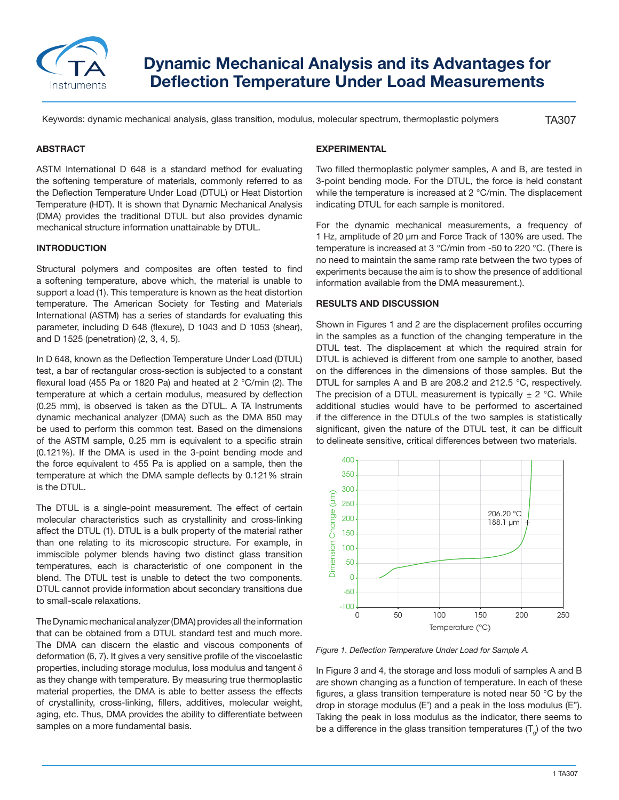

# **Dynamic Mechanical Analysis and its Advantages for Deflection Temperature Under Load Measurements**

Keywords: dynamic mechanical analysis, glass transition, modulus, molecular spectrum, thermoplastic polymers

TA307

## **ABSTRACT**

ASTM International D 648 is a standard method for evaluating the softening temperature of materials, commonly referred to as the Deflection Temperature Under Load (DTUL) or Heat Distortion Temperature (HDT). It is shown that Dynamic Mechanical Analysis (DMA) provides the traditional DTUL but also provides dynamic mechanical structure information unattainable by DTUL.

### **INTRODUCTION**

Structural polymers and composites are often tested to find a softening temperature, above which, the material is unable to support a load (1). This temperature is known as the heat distortion temperature. The American Society for Testing and Materials International (ASTM) has a series of standards for evaluating this parameter, including D 648 (flexure), D 1043 and D 1053 (shear), and D 1525 (penetration) (2, 3, 4, 5).

In D 648, known as the Deflection Temperature Under Load (DTUL) test, a bar of rectangular cross-section is subjected to a constant flexural load (455 Pa or 1820 Pa) and heated at 2 °C/min (2). The temperature at which a certain modulus, measured by deflection (0.25 mm), is observed is taken as the DTUL. A TA Instruments dynamic mechanical analyzer (DMA) such as the DMA 850 may be used to perform this common test. Based on the dimensions of the ASTM sample, 0.25 mm is equivalent to a specific strain (0.121%). If the DMA is used in the 3-point bending mode and the force equivalent to 455 Pa is applied on a sample, then the temperature at which the DMA sample deflects by 0.121% strain is the DTUL.

The DTUL is a single-point measurement. The effect of certain molecular characteristics such as crystallinity and cross-linking affect the DTUL (1). DTUL is a bulk property of the material rather than one relating to its microscopic structure. For example, in immiscible polymer blends having two distinct glass transition temperatures, each is characteristic of one component in the blend. The DTUL test is unable to detect the two components. DTUL cannot provide information about secondary transitions due to small-scale relaxations.

The Dynamic mechanical analyzer (DMA) provides all the information that can be obtained from a DTUL standard test and much more. The DMA can discern the elastic and viscous components of deformation (6, 7). It gives a very sensitive profile of the viscoelastic properties, including storage modulus, loss modulus and tangent δ as they change with temperature. By measuring true thermoplastic material properties, the DMA is able to better assess the effects of crystallinity, cross-linking, fillers, additives, molecular weight, aging, etc. Thus, DMA provides the ability to differentiate between samples on a more fundamental basis.

# **EXPERIMENTAL**

Two filled thermoplastic polymer samples, A and B, are tested in 3-point bending mode. For the DTUL, the force is held constant while the temperature is increased at 2 °C/min. The displacement indicating DTUL for each sample is monitored.

For the dynamic mechanical measurements, a frequency of 1 Hz, amplitude of 20 µm and Force Track of 130% are used. The temperature is increased at 3 °C/min from -50 to 220 °C. (There is no need to maintain the same ramp rate between the two types of experiments because the aim is to show the presence of additional information available from the DMA measurement.).

## **RESULTS AND DISCUSSION**

Shown in Figures 1 and 2 are the displacement profiles occurring in the samples as a function of the changing temperature in the DTUL test. The displacement at which the required strain for DTUL is achieved is different from one sample to another, based on the differences in the dimensions of those samples. But the DTUL for samples A and B are 208.2 and 212.5 °C, respectively. The precision of a DTUL measurement is typically  $\pm$  2 °C. While additional studies would have to be performed to ascertained if the difference in the DTULs of the two samples is statistically significant, given the nature of the DTUL test, it can be difficult to delineate sensitive, critical differences between two materials.



*Figure 1. Deflection Temperature Under Load for Sample A.*

In Figure 3 and 4, the storage and loss moduli of samples A and B are shown changing as a function of temperature. In each of these figures, a glass transition temperature is noted near 50 °C by the drop in storage modulus (E') and a peak in the loss modulus (E"). Taking the peak in loss modulus as the indicator, there seems to be a difference in the glass transition temperatures  $(T_a)$  of the two